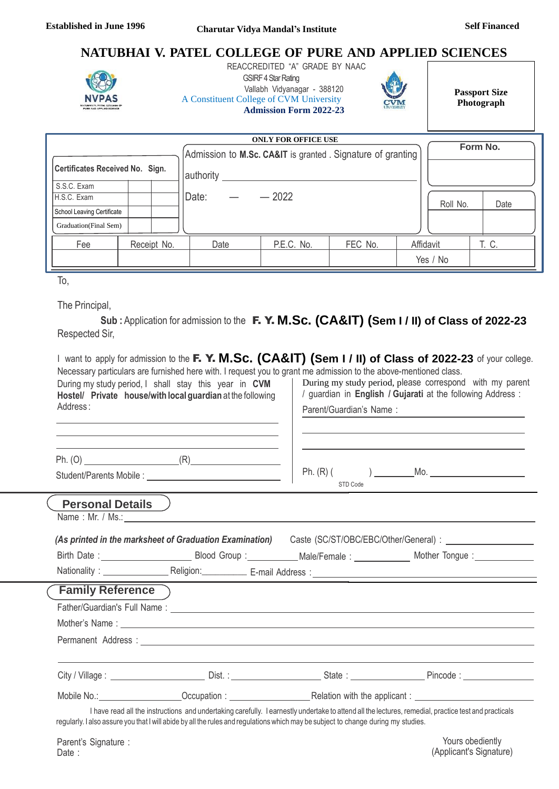# **NATUBHAI V. PATEL COLLEGE OF PURE AND APPLIED SCIENCES**



 REACCREDITED "A" GRADE BY NAAC **GSIRF 4 Star Rating** Vallabh Vidyanagar - 388120 A Constituent College of CVM University **Admission Form 2022-23**



**Passport Size Photograph**

| <b>ONLY FOR OFFICE USE</b>      |  |             |                                                             |            |         |  |           |       |  |
|---------------------------------|--|-------------|-------------------------------------------------------------|------------|---------|--|-----------|-------|--|
|                                 |  |             | Admission to M.Sc. CA&IT is granted . Signature of granting |            |         |  | Form No.  |       |  |
| Certificates Received No. Sign. |  |             | authority                                                   |            |         |  |           |       |  |
| S.S.C. Exam                     |  |             |                                                             |            |         |  |           |       |  |
| H.S.C. Exam                     |  |             | Date:                                                       | $-2022$    |         |  | Roll No.  | Date  |  |
| School Leaving Certificate      |  |             |                                                             |            |         |  |           |       |  |
| Graduation(Final Sem)           |  |             |                                                             |            |         |  |           |       |  |
| Fee                             |  | Receipt No. | Date                                                        | P.E.C. No. | FEC No. |  | Affidavit | T. C. |  |
|                                 |  |             |                                                             |            |         |  | Yes / No  |       |  |

To,

The Principal,

**Sub :** Application for admission to the F. Y. **M.Sc. (CA&IT) (Sem I / II) of Class of 2022-23** Respected Sir,

| Necessary particulars are furnished here with. I request you to grant me admission to the above-mentioned class.<br>During my study period, I shall stay this year in CVM<br>Hostel/ Private house/with local guardian at the following<br>Address:                                       | I want to apply for admission to the F. Y. M.Sc. (CA&IT) (Sem I / II) of Class of 2022-23 of your college.<br>During my study period, please correspond with my parent<br>/ guardian in English / Gujarati at the following Address :<br>Parent/Guardian's Name: |  |  |  |
|-------------------------------------------------------------------------------------------------------------------------------------------------------------------------------------------------------------------------------------------------------------------------------------------|------------------------------------------------------------------------------------------------------------------------------------------------------------------------------------------------------------------------------------------------------------------|--|--|--|
| Student/Parents Mobile:                                                                                                                                                                                                                                                                   |                                                                                                                                                                                                                                                                  |  |  |  |
| <b>Personal Details</b><br>Name: Mr. / Ms.:                                                                                                                                                                                                                                               | STD Code                                                                                                                                                                                                                                                         |  |  |  |
| (As printed in the marksheet of Graduation Examination) Caste (SC/ST/OBC/EBC/Other/General):                                                                                                                                                                                              |                                                                                                                                                                                                                                                                  |  |  |  |
| Birth Date: ________________________________Blood Group:_______________Male/Female: ______________________ Mother Tongue: _____________                                                                                                                                                   |                                                                                                                                                                                                                                                                  |  |  |  |
|                                                                                                                                                                                                                                                                                           |                                                                                                                                                                                                                                                                  |  |  |  |
| <b>Family Reference</b>                                                                                                                                                                                                                                                                   |                                                                                                                                                                                                                                                                  |  |  |  |
|                                                                                                                                                                                                                                                                                           |                                                                                                                                                                                                                                                                  |  |  |  |
|                                                                                                                                                                                                                                                                                           |                                                                                                                                                                                                                                                                  |  |  |  |
|                                                                                                                                                                                                                                                                                           |                                                                                                                                                                                                                                                                  |  |  |  |
|                                                                                                                                                                                                                                                                                           |                                                                                                                                                                                                                                                                  |  |  |  |
| I have read all the instructions and undertaking carefully. I earnestly undertake to attend all the lectures, remedial, practice test and practicals<br>regularly. I also assure you that I will abide by all the rules and regulations which may be subject to change during my studies. |                                                                                                                                                                                                                                                                  |  |  |  |

Parent's Signature : Date: